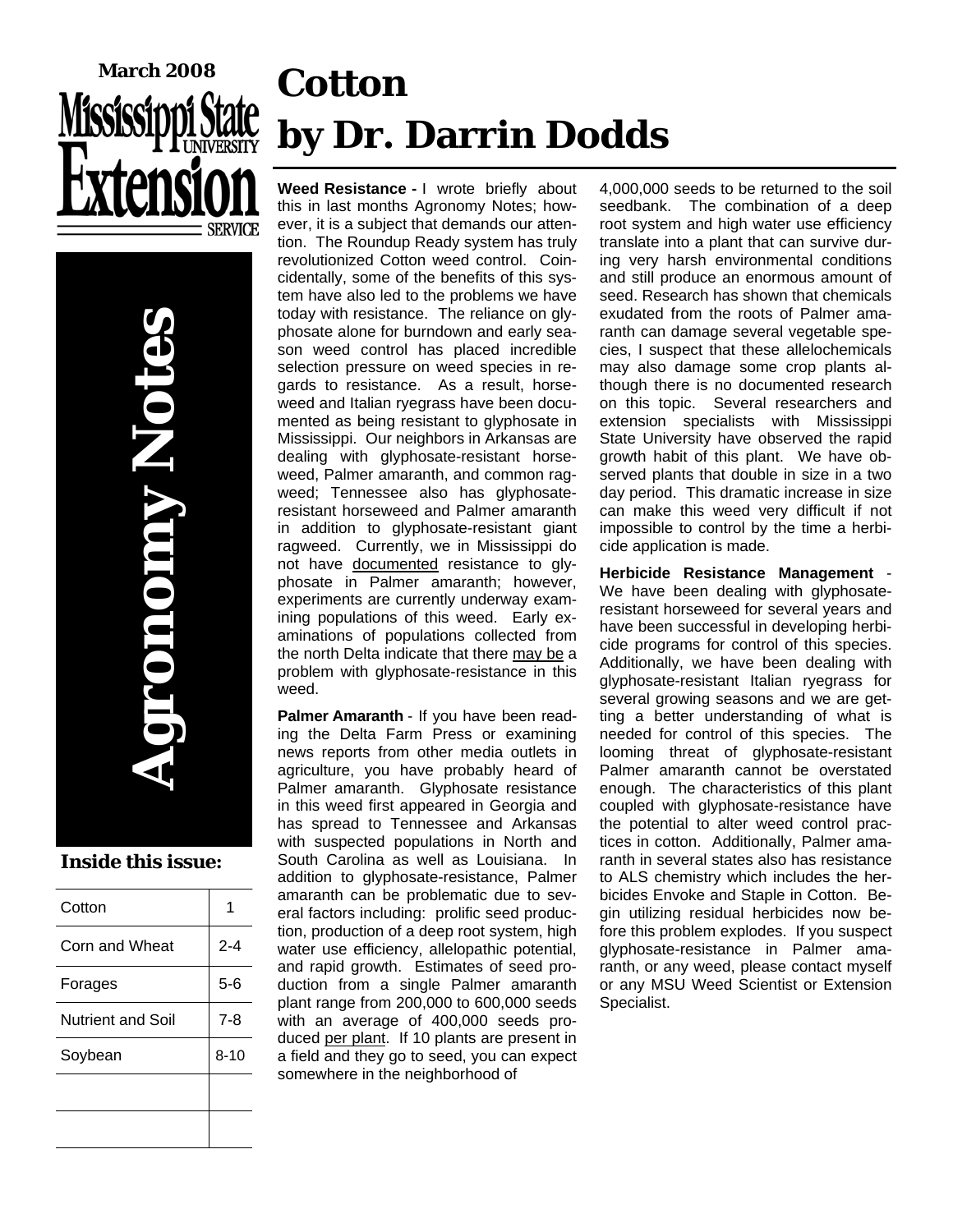# **March 2008**

**Agronomy Notes**   $\blacksquare$ 

#### **Inside this issue:**

| Cotton            |          |
|-------------------|----------|
| Corn and Wheat    | $2 - 4$  |
| Forages           | $5-6$    |
| Nutrient and Soil | $7 - 8$  |
| Soybean           | $8 - 10$ |
|                   |          |
|                   |          |

## **Cotton by Dr. Darrin Dodds**

**Weed Resistance -** I wrote briefly about this in last months Agronomy Notes; however, it is a subject that demands our attention. The Roundup Ready system has truly revolutionized Cotton weed control. Coincidentally, some of the benefits of this system have also led to the problems we have today with resistance. The reliance on glyphosate alone for burndown and early season weed control has placed incredible selection pressure on weed species in regards to resistance. As a result, horseweed and Italian ryegrass have been documented as being resistant to glyphosate in Mississippi. Our neighbors in Arkansas are dealing with glyphosate-resistant horseweed, Palmer amaranth, and common ragweed; Tennessee also has glyphosateresistant horseweed and Palmer amaranth in addition to glyphosate-resistant giant ragweed. Currently, we in Mississippi do not have documented resistance to glyphosate in Palmer amaranth; however, experiments are currently underway examining populations of this weed. Early examinations of populations collected from the north Delta indicate that there may be a problem with glyphosate-resistance in this weed.

**Palmer Amaranth** - If you have been reading the Delta Farm Press or examining news reports from other media outlets in agriculture, you have probably heard of Palmer amaranth. Glyphosate resistance in this weed first appeared in Georgia and has spread to Tennessee and Arkansas with suspected populations in North and South Carolina as well as Louisiana. In addition to glyphosate-resistance, Palmer amaranth can be problematic due to several factors including: prolific seed production, production of a deep root system, high water use efficiency, allelopathic potential, and rapid growth. Estimates of seed production from a single Palmer amaranth plant range from 200,000 to 600,000 seeds with an average of 400,000 seeds produced per plant. If 10 plants are present in a field and they go to seed, you can expect somewhere in the neighborhood of

4,000,000 seeds to be returned to the soil seedbank. The combination of a deep root system and high water use efficiency translate into a plant that can survive during very harsh environmental conditions and still produce an enormous amount of seed. Research has shown that chemicals exudated from the roots of Palmer amaranth can damage several vegetable species, I suspect that these allelochemicals may also damage some crop plants although there is no documented research on this topic. Several researchers and extension specialists with Mississippi State University have observed the rapid growth habit of this plant. We have observed plants that double in size in a two day period. This dramatic increase in size can make this weed very difficult if not impossible to control by the time a herbicide application is made.

**Herbicide Resistance Management** - We have been dealing with glyphosateresistant horseweed for several years and have been successful in developing herbicide programs for control of this species. Additionally, we have been dealing with glyphosate-resistant Italian ryegrass for several growing seasons and we are getting a better understanding of what is needed for control of this species. The looming threat of glyphosate-resistant Palmer amaranth cannot be overstated enough. The characteristics of this plant coupled with glyphosate-resistance have the potential to alter weed control practices in cotton. Additionally, Palmer amaranth in several states also has resistance to ALS chemistry which includes the herbicides Envoke and Staple in Cotton. Begin utilizing residual herbicides now before this problem explodes. If you suspect glyphosate-resistance in Palmer amaranth, or any weed, please contact myself or any MSU Weed Scientist or Extension Specialist.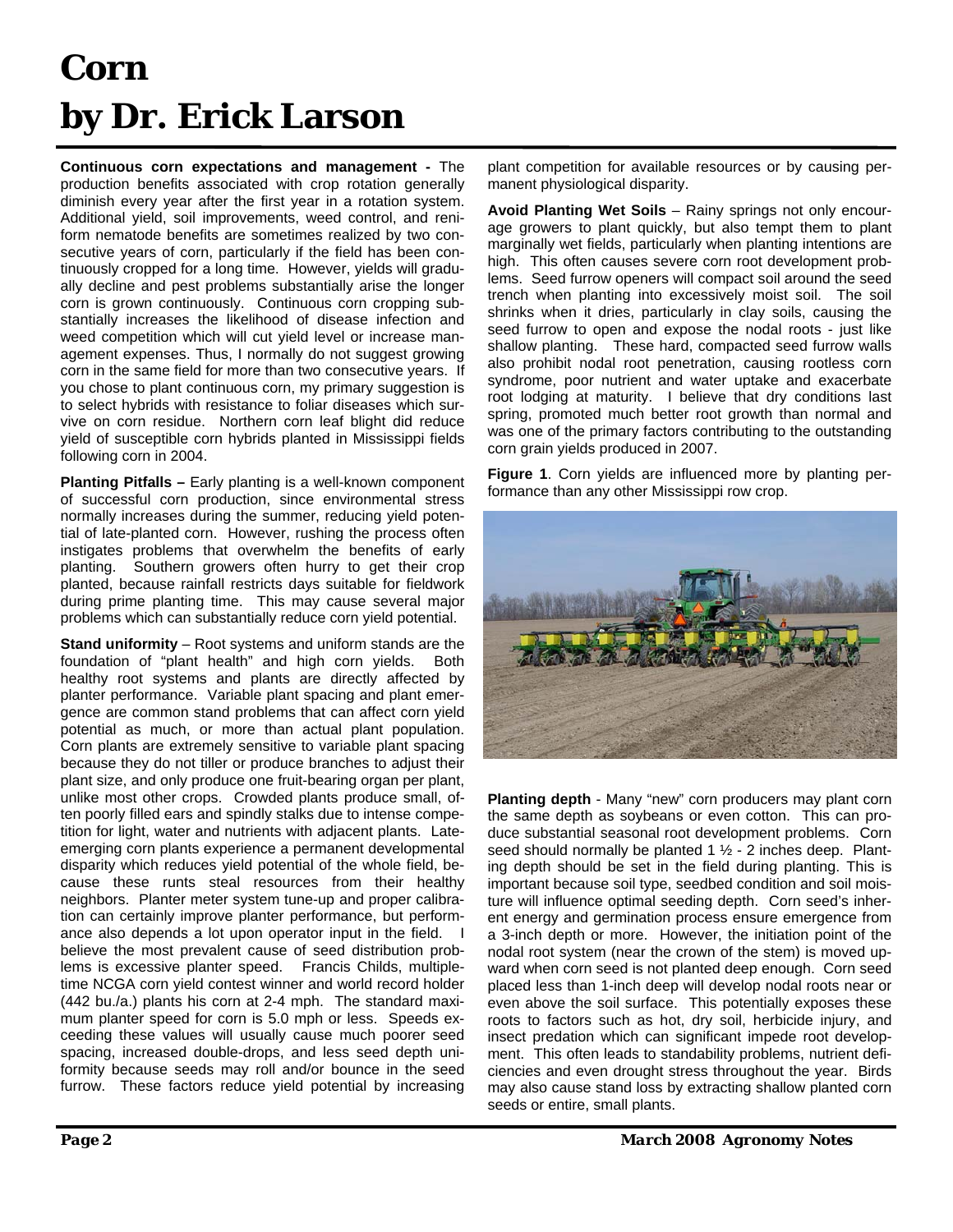## **Corn by Dr. Erick Larson**

**Continuous corn expectations and management -** The production benefits associated with crop rotation generally diminish every year after the first year in a rotation system. Additional yield, soil improvements, weed control, and reniform nematode benefits are sometimes realized by two consecutive years of corn, particularly if the field has been continuously cropped for a long time. However, yields will gradually decline and pest problems substantially arise the longer corn is grown continuously. Continuous corn cropping substantially increases the likelihood of disease infection and weed competition which will cut yield level or increase management expenses. Thus, I normally do not suggest growing corn in the same field for more than two consecutive years. If you chose to plant continuous corn, my primary suggestion is to select hybrids with resistance to foliar diseases which survive on corn residue. Northern corn leaf blight did reduce yield of susceptible corn hybrids planted in Mississippi fields following corn in 2004.

**Planting Pitfalls –** Early planting is a well-known component of successful corn production, since environmental stress normally increases during the summer, reducing yield potential of late-planted corn. However, rushing the process often instigates problems that overwhelm the benefits of early planting. Southern growers often hurry to get their crop planted, because rainfall restricts days suitable for fieldwork during prime planting time. This may cause several major problems which can substantially reduce corn yield potential.

**Stand uniformity** – Root systems and uniform stands are the foundation of "plant health" and high corn yields. Both healthy root systems and plants are directly affected by planter performance. Variable plant spacing and plant emergence are common stand problems that can affect corn yield potential as much, or more than actual plant population. Corn plants are extremely sensitive to variable plant spacing because they do not tiller or produce branches to adjust their plant size, and only produce one fruit-bearing organ per plant, unlike most other crops. Crowded plants produce small, often poorly filled ears and spindly stalks due to intense competition for light, water and nutrients with adjacent plants. Lateemerging corn plants experience a permanent developmental disparity which reduces yield potential of the whole field, because these runts steal resources from their healthy neighbors. Planter meter system tune-up and proper calibration can certainly improve planter performance, but performance also depends a lot upon operator input in the field. I believe the most prevalent cause of seed distribution problems is excessive planter speed. Francis Childs, multipletime NCGA corn yield contest winner and world record holder (442 bu./a.) plants his corn at 2-4 mph. The standard maximum planter speed for corn is 5.0 mph or less. Speeds exceeding these values will usually cause much poorer seed spacing, increased double-drops, and less seed depth uniformity because seeds may roll and/or bounce in the seed furrow. These factors reduce yield potential by increasing

plant competition for available resources or by causing permanent physiological disparity.

**Avoid Planting Wet Soils** – Rainy springs not only encourage growers to plant quickly, but also tempt them to plant marginally wet fields, particularly when planting intentions are high. This often causes severe corn root development problems. Seed furrow openers will compact soil around the seed trench when planting into excessively moist soil. The soil shrinks when it dries, particularly in clay soils, causing the seed furrow to open and expose the nodal roots - just like shallow planting. These hard, compacted seed furrow walls also prohibit nodal root penetration, causing rootless corn syndrome, poor nutrient and water uptake and exacerbate root lodging at maturity. I believe that dry conditions last spring, promoted much better root growth than normal and was one of the primary factors contributing to the outstanding corn grain yields produced in 2007.

**Figure 1**. Corn yields are influenced more by planting performance than any other Mississippi row crop.



**Planting depth** - Many "new" corn producers may plant corn the same depth as soybeans or even cotton. This can produce substantial seasonal root development problems. Corn seed should normally be planted 1 ½ - 2 inches deep. Planting depth should be set in the field during planting. This is important because soil type, seedbed condition and soil moisture will influence optimal seeding depth. Corn seed's inherent energy and germination process ensure emergence from a 3-inch depth or more. However, the initiation point of the nodal root system (near the crown of the stem) is moved upward when corn seed is not planted deep enough. Corn seed placed less than 1-inch deep will develop nodal roots near or even above the soil surface. This potentially exposes these roots to factors such as hot, dry soil, herbicide injury, and insect predation which can significant impede root development. This often leads to standability problems, nutrient deficiencies and even drought stress throughout the year. Birds may also cause stand loss by extracting shallow planted corn seeds or entire, small plants.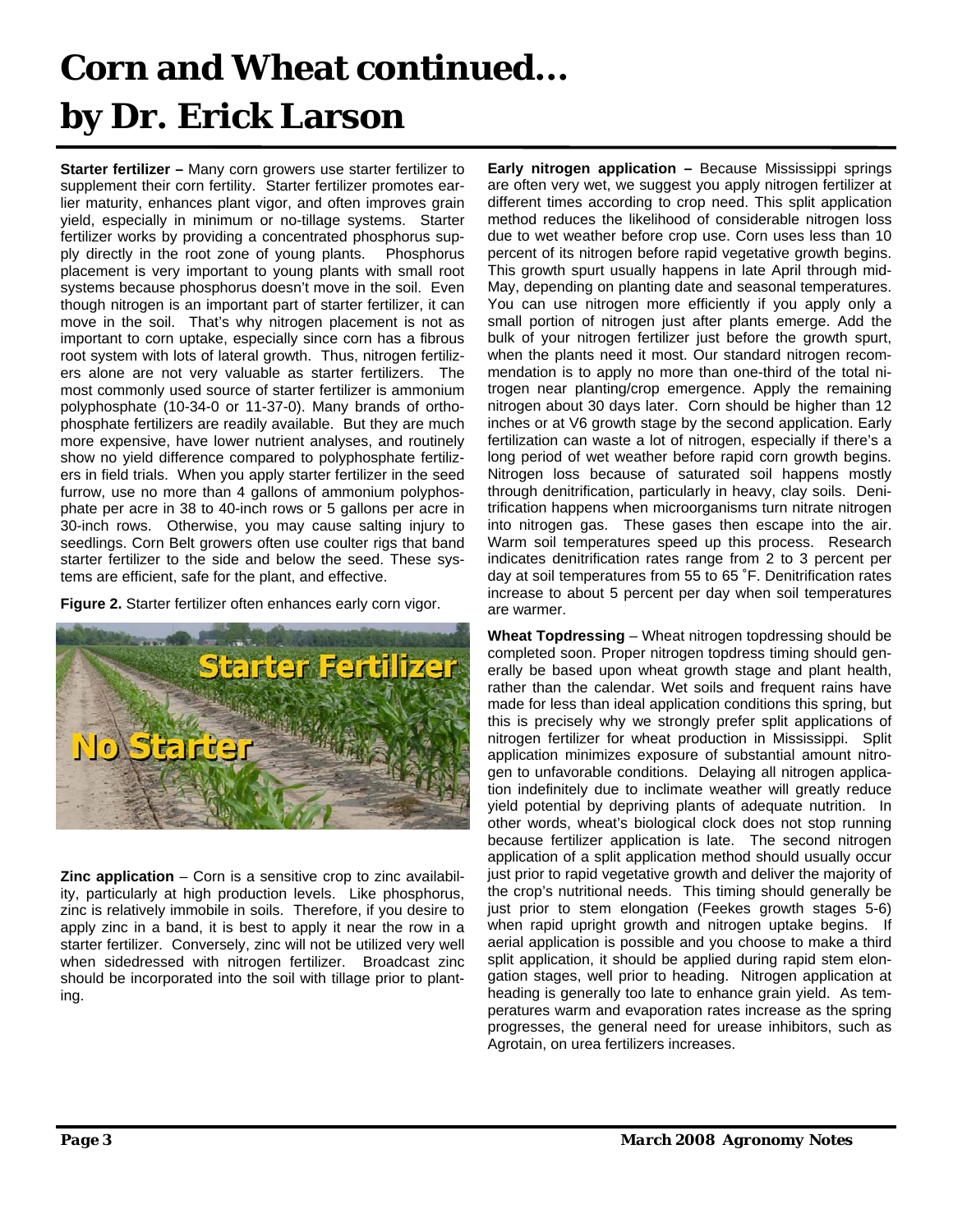## **Corn and Wheat continued... by Dr. Erick Larson**

**Starter fertilizer –** Many corn growers use starter fertilizer to supplement their corn fertility. Starter fertilizer promotes earlier maturity, enhances plant vigor, and often improves grain yield, especially in minimum or no-tillage systems. Starter fertilizer works by providing a concentrated phosphorus supply directly in the root zone of young plants. Phosphorus placement is very important to young plants with small root systems because phosphorus doesn't move in the soil. Even though nitrogen is an important part of starter fertilizer, it can move in the soil. That's why nitrogen placement is not as important to corn uptake, especially since corn has a fibrous root system with lots of lateral growth. Thus, nitrogen fertilizers alone are not very valuable as starter fertilizers. The most commonly used source of starter fertilizer is ammonium polyphosphate (10-34-0 or 11-37-0). Many brands of orthophosphate fertilizers are readily available. But they are much more expensive, have lower nutrient analyses, and routinely show no yield difference compared to polyphosphate fertilizers in field trials. When you apply starter fertilizer in the seed furrow, use no more than 4 gallons of ammonium polyphosphate per acre in 38 to 40-inch rows or 5 gallons per acre in 30-inch rows. Otherwise, you may cause salting injury to seedlings. Corn Belt growers often use coulter rigs that band starter fertilizer to the side and below the seed. These systems are efficient, safe for the plant, and effective.

**Figure 2.** Starter fertilizer often enhances early corn vigor.



**Zinc application** – Corn is a sensitive crop to zinc availability, particularly at high production levels. Like phosphorus, zinc is relatively immobile in soils. Therefore, if you desire to apply zinc in a band, it is best to apply it near the row in a starter fertilizer. Conversely, zinc will not be utilized very well when sidedressed with nitrogen fertilizer. Broadcast zinc should be incorporated into the soil with tillage prior to planting.

**Early nitrogen application –** Because Mississippi springs are often very wet, we suggest you apply nitrogen fertilizer at different times according to crop need. This split application method reduces the likelihood of considerable nitrogen loss due to wet weather before crop use. Corn uses less than 10 percent of its nitrogen before rapid vegetative growth begins. This growth spurt usually happens in late April through mid-May, depending on planting date and seasonal temperatures. You can use nitrogen more efficiently if you apply only a small portion of nitrogen just after plants emerge. Add the bulk of your nitrogen fertilizer just before the growth spurt, when the plants need it most. Our standard nitrogen recommendation is to apply no more than one-third of the total nitrogen near planting/crop emergence. Apply the remaining nitrogen about 30 days later. Corn should be higher than 12 inches or at V6 growth stage by the second application. Early fertilization can waste a lot of nitrogen, especially if there's a long period of wet weather before rapid corn growth begins. Nitrogen loss because of saturated soil happens mostly through denitrification, particularly in heavy, clay soils. Denitrification happens when microorganisms turn nitrate nitrogen into nitrogen gas. These gases then escape into the air. Warm soil temperatures speed up this process. Research indicates denitrification rates range from 2 to 3 percent per day at soil temperatures from 55 to 65 ˚F. Denitrification rates increase to about 5 percent per day when soil temperatures are warmer.

**Wheat Topdressing** – Wheat nitrogen topdressing should be completed soon. Proper nitrogen topdress timing should generally be based upon wheat growth stage and plant health, rather than the calendar. Wet soils and frequent rains have made for less than ideal application conditions this spring, but this is precisely why we strongly prefer split applications of nitrogen fertilizer for wheat production in Mississippi. Split application minimizes exposure of substantial amount nitrogen to unfavorable conditions. Delaying all nitrogen application indefinitely due to inclimate weather will greatly reduce yield potential by depriving plants of adequate nutrition. In other words, wheat's biological clock does not stop running because fertilizer application is late. The second nitrogen application of a split application method should usually occur just prior to rapid vegetative growth and deliver the majority of the crop's nutritional needs. This timing should generally be just prior to stem elongation (Feekes growth stages 5-6) when rapid upright growth and nitrogen uptake begins. If aerial application is possible and you choose to make a third split application, it should be applied during rapid stem elongation stages, well prior to heading. Nitrogen application at heading is generally too late to enhance grain yield. As temperatures warm and evaporation rates increase as the spring progresses, the general need for urease inhibitors, such as Agrotain, on urea fertilizers increases.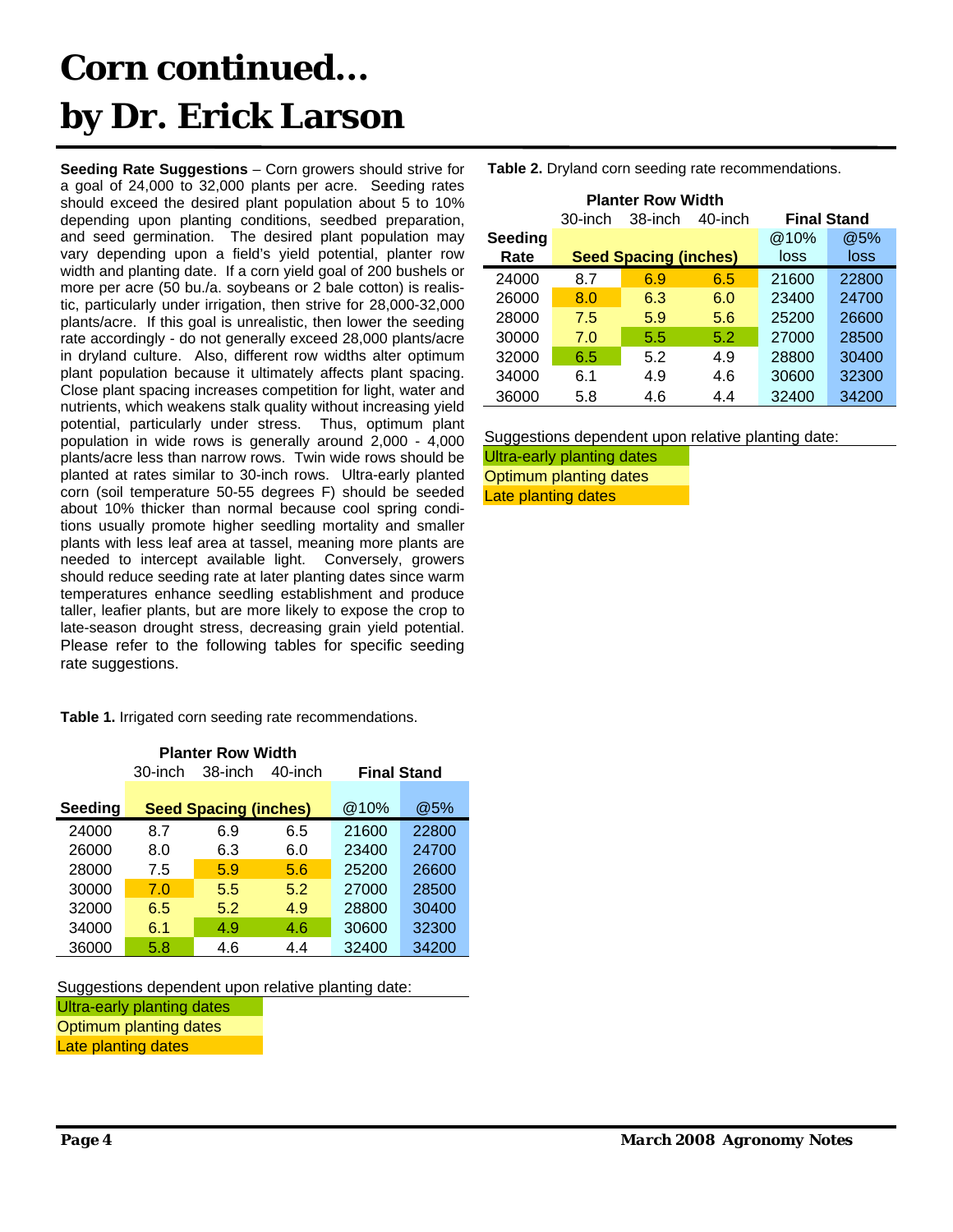## **Corn continued... by Dr. Erick Larson**

**Seeding Rate Suggestions** – Corn growers should strive for a goal of 24,000 to 32,000 plants per acre. Seeding rates should exceed the desired plant population about 5 to 10% depending upon planting conditions, seedbed preparation, and seed germination. The desired plant population may vary depending upon a field's yield potential, planter row width and planting date. If a corn yield goal of 200 bushels or more per acre (50 bu./a. soybeans or 2 bale cotton) is realistic, particularly under irrigation, then strive for 28,000-32,000 plants/acre. If this goal is unrealistic, then lower the seeding rate accordingly - do not generally exceed 28,000 plants/acre in dryland culture. Also, different row widths alter optimum plant population because it ultimately affects plant spacing. Close plant spacing increases competition for light, water and nutrients, which weakens stalk quality without increasing yield potential, particularly under stress. Thus, optimum plant population in wide rows is generally around 2,000 - 4,000 plants/acre less than narrow rows. Twin wide rows should be planted at rates similar to 30-inch rows. Ultra-early planted corn (soil temperature 50-55 degrees F) should be seeded about 10% thicker than normal because cool spring conditions usually promote higher seedling mortality and smaller plants with less leaf area at tassel, meaning more plants are needed to intercept available light. Conversely, growers should reduce seeding rate at later planting dates since warm temperatures enhance seedling establishment and produce taller, leafier plants, but are more likely to expose the crop to late-season drought stress, decreasing grain yield potential. Please refer to the following tables for specific seeding rate suggestions.

**Table 1.** Irrigated corn seeding rate recommendations.

| <b>Planter Row Width</b> |         |                              |         |                    |       |
|--------------------------|---------|------------------------------|---------|--------------------|-------|
|                          | 30-inch | 38-inch                      | 40-inch | <b>Final Stand</b> |       |
|                          |         |                              |         |                    |       |
| <b>Seeding</b>           |         | <b>Seed Spacing (inches)</b> |         | @10%               | @5%   |
| 24000                    | 8.7     | 6.9                          | 6.5     | 21600              | 22800 |
| 26000                    | 8.0     | 6.3                          | 6.0     | 23400              | 24700 |
| 28000                    | 7.5     | 5.9                          | 5.6     | 25200              | 26600 |
| 30000                    | 7.0     | 5.5                          | 5.2     | 27000              | 28500 |
| 32000                    | 6.5     | 5.2                          | 4.9     | 28800              | 30400 |
| 34000                    | 6.1     | 4.9                          | 4.6     | 30600              | 32300 |
| 36000                    | 5.8     | 4.6                          | 4.4     | 32400              | 34200 |

Suggestions dependent upon relative planting date:

Ultra-early planting dates

Optimum planting dates

Late planting dates

**Table 2.** Dryland corn seeding rate recommendations.

| <b>Planter Row Width</b> |         |                              |         |                    |       |
|--------------------------|---------|------------------------------|---------|--------------------|-------|
|                          | 30-inch | 38-inch                      | 40-inch | <b>Final Stand</b> |       |
| Seeding                  |         |                              |         | @10%               | @5%   |
| Rate                     |         | <b>Seed Spacing (inches)</b> |         | loss               | loss  |
| 24000                    | 8.7     | 6.9                          | 6.5     | 21600              | 22800 |
| 26000                    | 8.0     | 6.3                          | 6.0     | 23400              | 24700 |
| 28000                    | 7.5     | 5.9                          | 5.6     | 25200              | 26600 |
| 30000                    | 7.0     | 5.5                          | 5.2     | 27000              | 28500 |
| 32000                    | 6.5     | 5.2                          | 4.9     | 28800              | 30400 |
| 34000                    | 6.1     | 4.9                          | 4.6     | 30600              | 32300 |
| 36000                    | 5.8     | 4.6                          | 4.4     | 32400              | 34200 |

Suggestions dependent upon relative planting date:

Ultra-early planting dates Optimum planting dates Late planting dates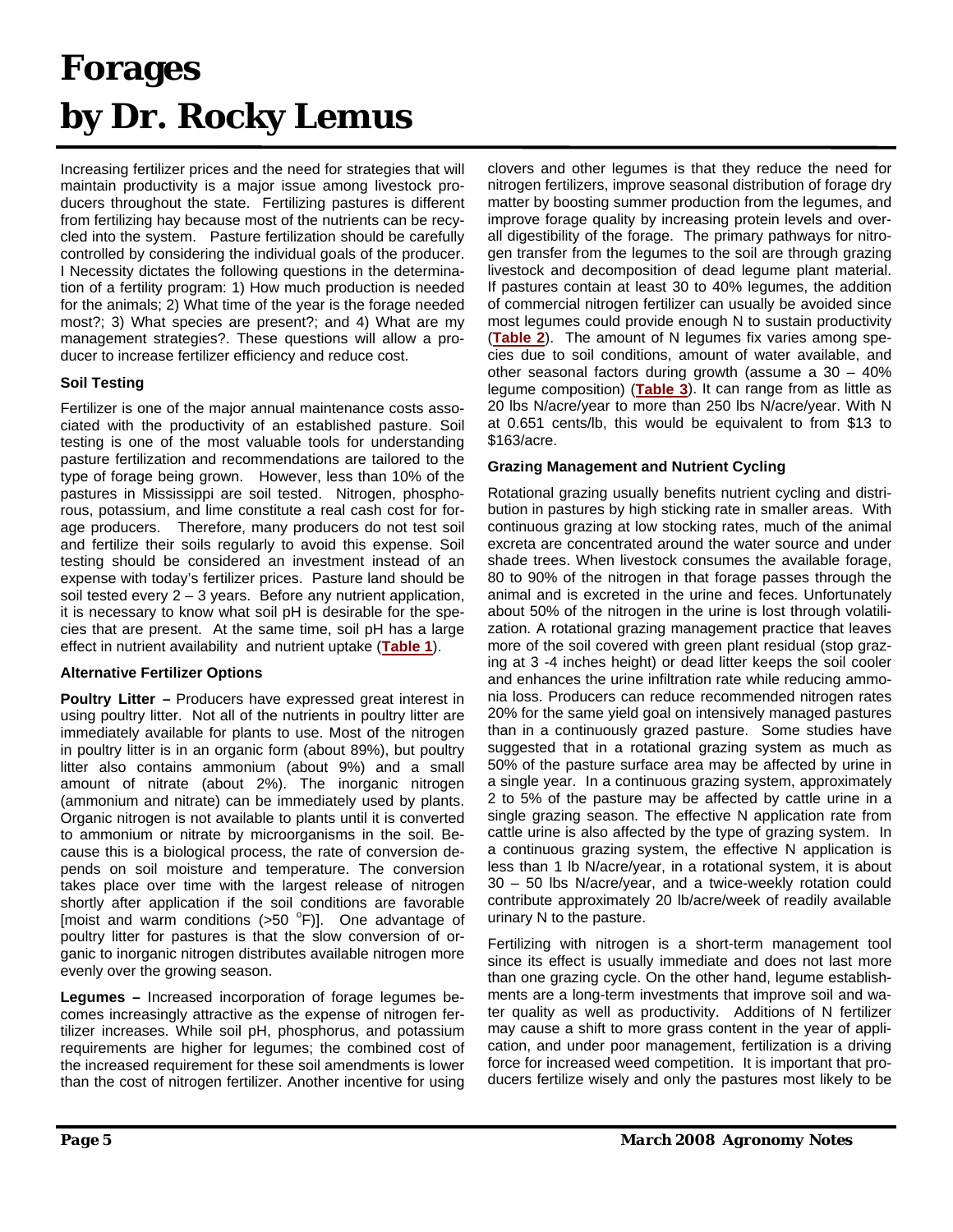## **Forages by Dr. Rocky Lemus**

Increasing fertilizer prices and the need for strategies that will maintain productivity is a major issue among livestock producers throughout the state. Fertilizing pastures is different from fertilizing hay because most of the nutrients can be recycled into the system. Pasture fertilization should be carefully controlled by considering the individual goals of the producer. I Necessity dictates the following questions in the determination of a fertility program: 1) How much production is needed for the animals; 2) What time of the year is the forage needed most?; 3) What species are present?; and 4) What are my management strategies?. These questions will allow a producer to increase fertilizer efficiency and reduce cost.

#### **Soil Testing**

Fertilizer is one of the major annual maintenance costs associated with the productivity of an established pasture. Soil testing is one of the most valuable tools for understanding pasture fertilization and recommendations are tailored to the type of forage being grown. However, less than 10% of the pastures in Mississippi are soil tested. Nitrogen, phosphorous, potassium, and lime constitute a real cash cost for forage producers. Therefore, many producers do not test soil and fertilize their soils regularly to avoid this expense. Soil testing should be considered an investment instead of an expense with today's fertilizer prices. Pasture land should be soil tested every 2 – 3 years. Before any nutrient application, it is necessary to know what soil pH is desirable for the species that are present. At the same time, soil pH has a large effect in nutrient availability and nutrient uptake (**Table 1**).

#### **Alternative Fertilizer Options**

**Poultry Litter –** Producers have expressed great interest in using poultry litter. Not all of the nutrients in poultry litter are immediately available for plants to use. Most of the nitrogen in poultry litter is in an organic form (about 89%), but poultry litter also contains ammonium (about 9%) and a small amount of nitrate (about 2%). The inorganic nitrogen (ammonium and nitrate) can be immediately used by plants. Organic nitrogen is not available to plants until it is converted to ammonium or nitrate by microorganisms in the soil. Because this is a biological process, the rate of conversion depends on soil moisture and temperature. The conversion takes place over time with the largest release of nitrogen shortly after application if the soil conditions are favorable [moist and warm conditions  $(>50$  °F)]. One advantage of poultry litter for pastures is that the slow conversion of organic to inorganic nitrogen distributes available nitrogen more evenly over the growing season.

**Legumes –** Increased incorporation of forage legumes becomes increasingly attractive as the expense of nitrogen fertilizer increases. While soil pH, phosphorus, and potassium requirements are higher for legumes; the combined cost of the increased requirement for these soil amendments is lower than the cost of nitrogen fertilizer. Another incentive for using clovers and other legumes is that they reduce the need for nitrogen fertilizers, improve seasonal distribution of forage dry matter by boosting summer production from the legumes, and improve forage quality by increasing protein levels and overall digestibility of the forage. The primary pathways for nitrogen transfer from the legumes to the soil are through grazing livestock and decomposition of dead legume plant material. If pastures contain at least 30 to 40% legumes, the addition of commercial nitrogen fertilizer can usually be avoided since most legumes could provide enough N to sustain productivity (**Table 2**). The amount of N legumes fix varies among species due to soil conditions, amount of water available, and other seasonal factors during growth (assume a 30 – 40% legume composition) (**Table 3**). It can range from as little as 20 lbs N/acre/year to more than 250 lbs N/acre/year. With N at 0.651 cents/lb, this would be equivalent to from \$13 to \$163/acre.

#### **Grazing Management and Nutrient Cycling**

Rotational grazing usually benefits nutrient cycling and distribution in pastures by high sticking rate in smaller areas. With continuous grazing at low stocking rates, much of the animal excreta are concentrated around the water source and under shade trees. When livestock consumes the available forage, 80 to 90% of the nitrogen in that forage passes through the animal and is excreted in the urine and feces. Unfortunately about 50% of the nitrogen in the urine is lost through volatilization. A rotational grazing management practice that leaves more of the soil covered with green plant residual (stop grazing at 3 -4 inches height) or dead litter keeps the soil cooler and enhances the urine infiltration rate while reducing ammonia loss. Producers can reduce recommended nitrogen rates 20% for the same yield goal on intensively managed pastures than in a continuously grazed pasture. Some studies have suggested that in a rotational grazing system as much as 50% of the pasture surface area may be affected by urine in a single year. In a continuous grazing system, approximately 2 to 5% of the pasture may be affected by cattle urine in a single grazing season. The effective N application rate from cattle urine is also affected by the type of grazing system. In a continuous grazing system, the effective N application is less than 1 lb N/acre/year, in a rotational system, it is about 30 – 50 lbs N/acre/year, and a twice-weekly rotation could contribute approximately 20 lb/acre/week of readily available urinary N to the pasture.

Fertilizing with nitrogen is a short-term management tool since its effect is usually immediate and does not last more than one grazing cycle. On the other hand, legume establishments are a long-term investments that improve soil and water quality as well as productivity. Additions of N fertilizer may cause a shift to more grass content in the year of application, and under poor management, fertilization is a driving force for increased weed competition. It is important that producers fertilize wisely and only the pastures most likely to be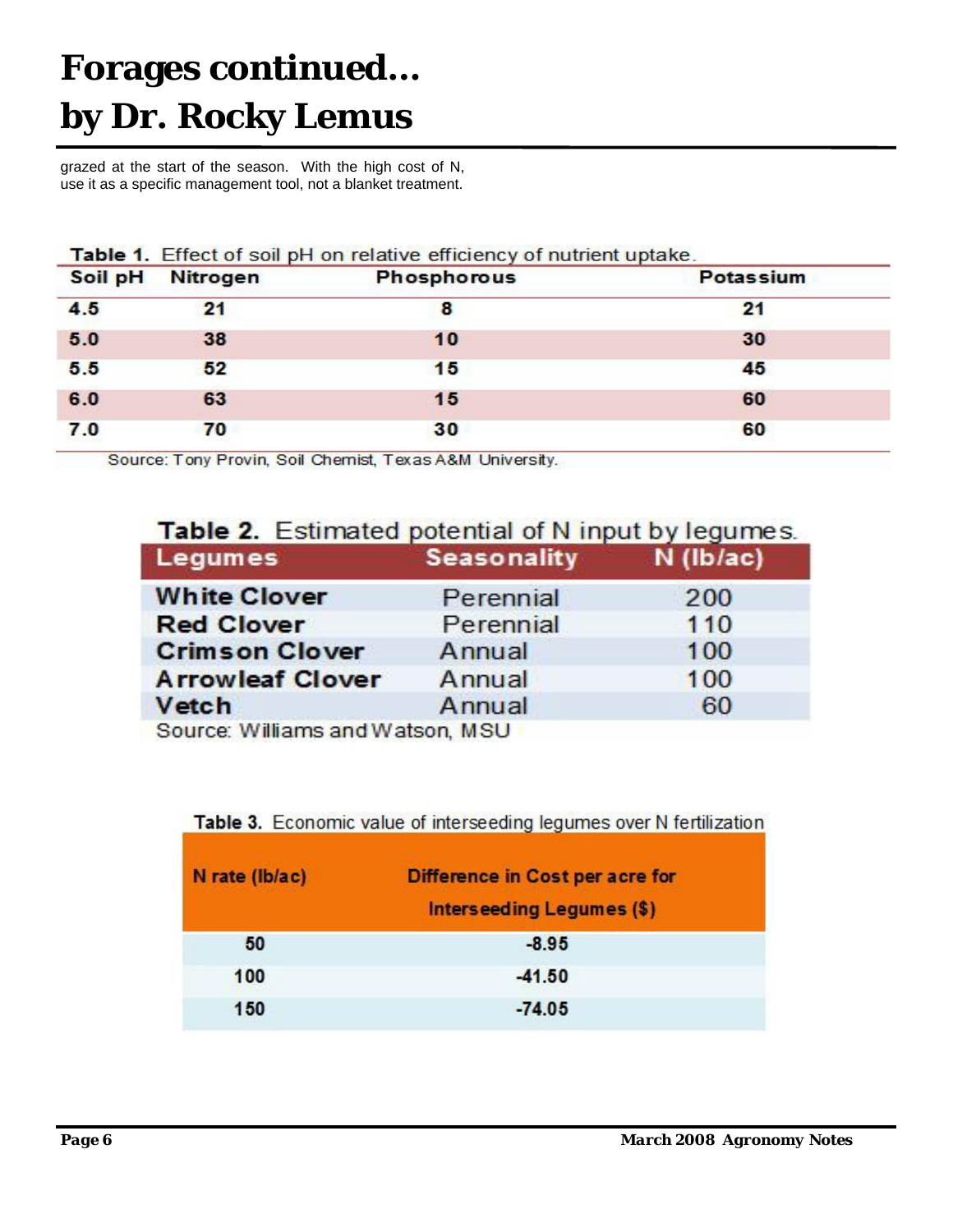#### **Forages continued… by Dr. Rocky Lemus**

grazed at the start of the season. With the high cost of N, use it as a specific management tool, not a blanket treatment.

| Soil pH | <b>Nitrogen</b> | <b>Phosphorous</b> | <b>Potassium</b> |
|---------|-----------------|--------------------|------------------|
| 4.5     | 21              | 8                  | 21               |
| 5.0     | 38              | 10                 | 30               |
| 5.5     | 52              | 15                 | 45               |
| 6.0     | 63              | 15                 | 60               |
| 7.0     | 70              | 30                 | 60               |

Source: Tony Provin, Soil Chemist, Texas A&M University.

#### Table 2. Estimated potential of N input by legumes.

| Legumes                          | Seasonality | $N$ (lb/ac) |
|----------------------------------|-------------|-------------|
| <b>White Clover</b>              | Perennial   | 200         |
| <b>Red Clover</b>                | Perennial   | 110         |
| <b>Crimson Clover</b>            | Annual      | 100         |
| <b>Arrowleaf Clover</b>          | Annual      | 100         |
| Vetch                            | Annual      | 60          |
| Coures Williams and Watson, MCLL |             |             |

purce, williams and watson, mod

#### Table 3. Economic value of interseeding legumes over N fertilization

| N rate (lb/ac) | Difference in Cost per acre for<br><b>Interseeding Legumes (\$)</b> |  |  |  |
|----------------|---------------------------------------------------------------------|--|--|--|
| 50             | $-8.95$                                                             |  |  |  |
| 100            | $-41.50$                                                            |  |  |  |
| 150            | $-74.05$                                                            |  |  |  |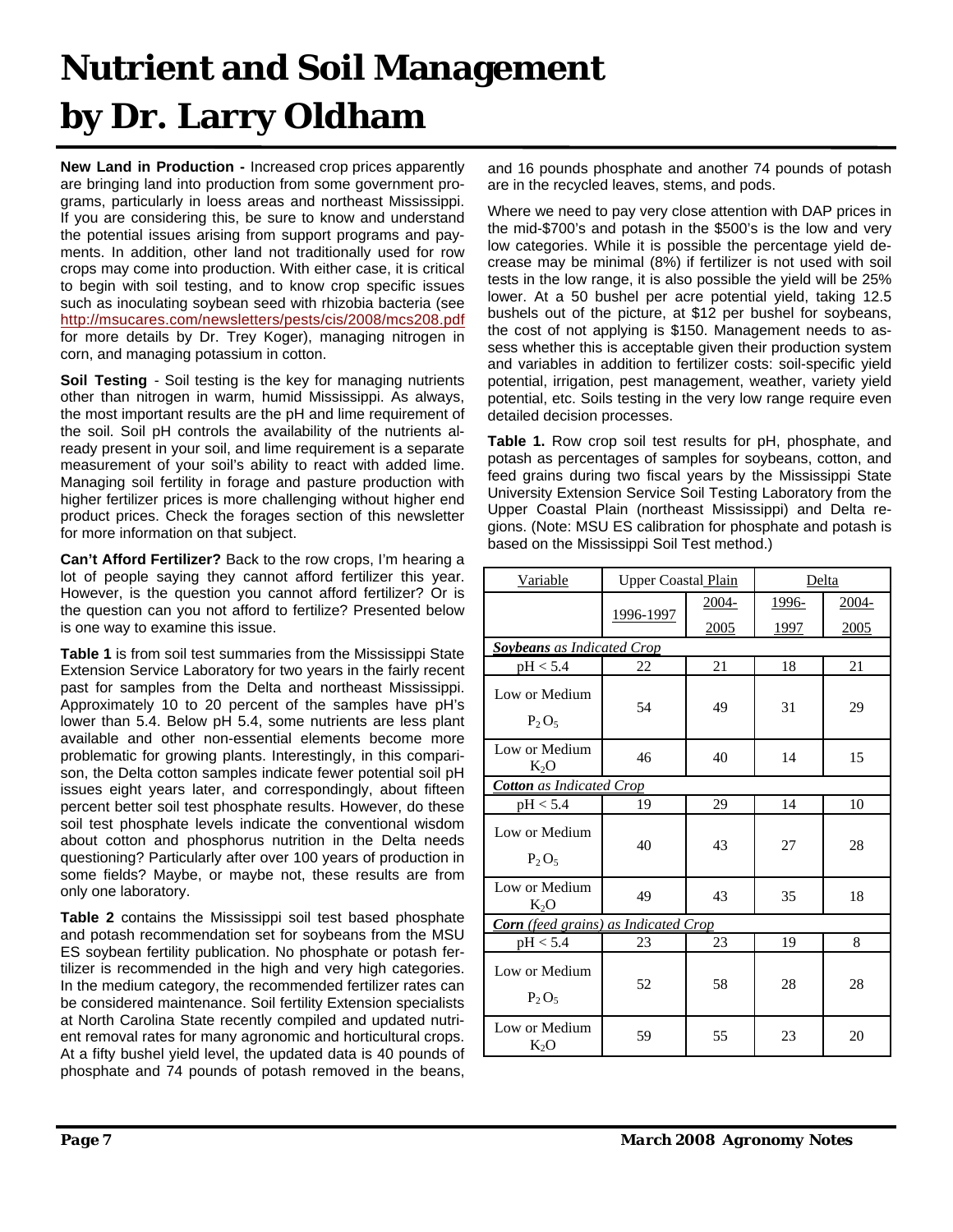## **Nutrient and Soil Management by Dr. Larry Oldham**

**New Land in Production -** Increased crop prices apparently are bringing land into production from some government programs, particularly in loess areas and northeast Mississippi. If you are considering this, be sure to know and understand the potential issues arising from support programs and payments. In addition, other land not traditionally used for row crops may come into production. With either case, it is critical to begin with soil testing, and to know crop specific issues such as inoculating soybean seed with rhizobia bacteria (see http://msucares.com/newsletters/pests/cis/2008/mcs208.pdf for more details by Dr. Trey Koger), managing nitrogen in corn, and managing potassium in cotton.

**Soil Testing** - Soil testing is the key for managing nutrients other than nitrogen in warm, humid Mississippi. As always, the most important results are the pH and lime requirement of the soil. Soil pH controls the availability of the nutrients already present in your soil, and lime requirement is a separate measurement of your soil's ability to react with added lime. Managing soil fertility in forage and pasture production with higher fertilizer prices is more challenging without higher end product prices. Check the forages section of this newsletter for more information on that subject.

**Can't Afford Fertilizer?** Back to the row crops, I'm hearing a lot of people saying they cannot afford fertilizer this year. However, is the question you cannot afford fertilizer? Or is the question can you not afford to fertilize? Presented below is one way to examine this issue.

**Table 1** is from soil test summaries from the Mississippi State Extension Service Laboratory for two years in the fairly recent past for samples from the Delta and northeast Mississippi. Approximately 10 to 20 percent of the samples have pH's lower than 5.4. Below pH 5.4, some nutrients are less plant available and other non-essential elements become more problematic for growing plants. Interestingly, in this comparison, the Delta cotton samples indicate fewer potential soil pH issues eight years later, and correspondingly, about fifteen percent better soil test phosphate results. However, do these soil test phosphate levels indicate the conventional wisdom about cotton and phosphorus nutrition in the Delta needs questioning? Particularly after over 100 years of production in some fields? Maybe, or maybe not, these results are from only one laboratory.

**Table 2** contains the Mississippi soil test based phosphate and potash recommendation set for soybeans from the MSU ES soybean fertility publication. No phosphate or potash fertilizer is recommended in the high and very high categories. In the medium category, the recommended fertilizer rates can be considered maintenance. Soil fertility Extension specialists at North Carolina State recently compiled and updated nutrient removal rates for many agronomic and horticultural crops. At a fifty bushel yield level, the updated data is 40 pounds of phosphate and 74 pounds of potash removed in the beans,

and 16 pounds phosphate and another 74 pounds of potash are in the recycled leaves, stems, and pods.

Where we need to pay very close attention with DAP prices in the mid-\$700's and potash in the \$500's is the low and very low categories. While it is possible the percentage yield decrease may be minimal (8%) if fertilizer is not used with soil tests in the low range, it is also possible the yield will be 25% lower. At a 50 bushel per acre potential yield, taking 12.5 bushels out of the picture, at \$12 per bushel for soybeans, the cost of not applying is \$150. Management needs to assess whether this is acceptable given their production system and variables in addition to fertilizer costs: soil-specific yield potential, irrigation, pest management, weather, variety yield potential, etc. Soils testing in the very low range require even detailed decision processes.

**Table 1.** Row crop soil test results for pH, phosphate, and potash as percentages of samples for soybeans, cotton, and feed grains during two fiscal years by the Mississippi State University Extension Service Soil Testing Laboratory from the Upper Coastal Plain (northeast Mississippi) and Delta regions. (Note: MSU ES calibration for phosphate and potash is based on the Mississippi Soil Test method.)

| Variable                                    | <b>Upper Coastal Plain</b> |       | Delta        |             |  |
|---------------------------------------------|----------------------------|-------|--------------|-------------|--|
|                                             |                            | 2004- | 1996-        | 2004-       |  |
|                                             | 1996-1997                  | 2005  | <u> 1997</u> | <u>2005</u> |  |
| <b>Soybeans</b> as Indicated Crop           |                            |       |              |             |  |
| pH < 5.4                                    | 22                         | 21    | 18           | 21          |  |
| Low or Medium<br>$P_2O_5$                   | 54                         | 49    | 31           | 29          |  |
| Low or Medium<br>$K_2O$                     | 46                         | 40    | 14           | 15          |  |
| <b>Cotton</b> as Indicated Crop             |                            |       |              |             |  |
| pH < 5.4                                    | 19                         | 29    | 14           | 10          |  |
| Low or Medium<br>$P_2O_5$                   | 40                         | 43    | 27           | 28          |  |
| Low or Medium<br>$K_2O$                     | 49                         | 43    | 35           | 18          |  |
| <b>Corn</b> (feed grains) as Indicated Crop |                            |       |              |             |  |
| pH < 5.4                                    | 23                         | 23    | 19           | 8           |  |
| Low or Medium<br>$P_2O_5$                   | 52                         | 58    | 28           | 28          |  |
| Low or Medium<br>$K_2O$                     | 59                         | 55    | 23           | 20          |  |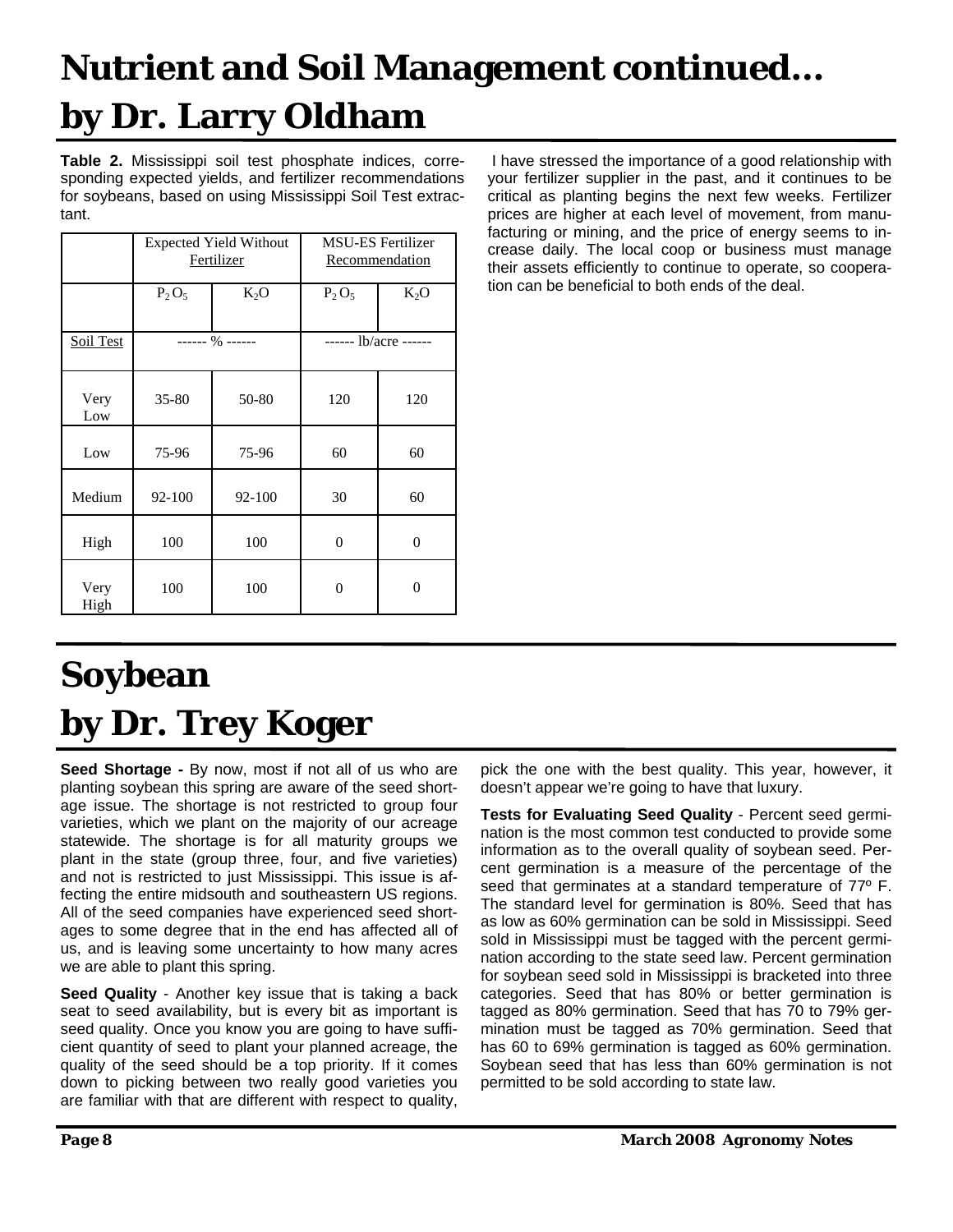## **Nutrient and Soil Management continued… by Dr. Larry Oldham**

**Table 2.** Mississippi soil test phosphate indices, corresponding expected yields, and fertilizer recommendations for soybeans, based on using Mississippi Soil Test extractant.

|              | <b>Expected Yield Without</b><br>Fertilizer |        | <b>MSU-ES Fertilizer</b><br><b>Recommendation</b> |                    |
|--------------|---------------------------------------------|--------|---------------------------------------------------|--------------------|
|              | $P_2O_5$                                    | $K_2O$ | $P_2O_5$                                          | $K_2O$             |
| Soil Test    | $--- 96$ $---$                              |        |                                                   | $---1b/acre$ $---$ |
| Very<br>Low  | $35 - 80$                                   | 50-80  | 120                                               | 120                |
| Low          | 75-96                                       | 75-96  | 60                                                | 60                 |
| Medium       | 92-100                                      | 92-100 | 30                                                | 60                 |
| High         | 100                                         | 100    | $\theta$                                          | $\overline{0}$     |
| Very<br>High | 100                                         | 100    | 0                                                 | 0                  |

 I have stressed the importance of a good relationship with your fertilizer supplier in the past, and it continues to be critical as planting begins the next few weeks. Fertilizer prices are higher at each level of movement, from manufacturing or mining, and the price of energy seems to increase daily. The local coop or business must manage their assets efficiently to continue to operate, so cooperation can be beneficial to both ends of the deal.

## **Soybean by Dr. Trey Koger**

**Seed Shortage -** By now, most if not all of us who are planting soybean this spring are aware of the seed shortage issue. The shortage is not restricted to group four varieties, which we plant on the majority of our acreage statewide. The shortage is for all maturity groups we plant in the state (group three, four, and five varieties) and not is restricted to just Mississippi. This issue is affecting the entire midsouth and southeastern US regions. All of the seed companies have experienced seed shortages to some degree that in the end has affected all of us, and is leaving some uncertainty to how many acres we are able to plant this spring.

**Seed Quality** - Another key issue that is taking a back seat to seed availability, but is every bit as important is seed quality. Once you know you are going to have sufficient quantity of seed to plant your planned acreage, the quality of the seed should be a top priority. If it comes down to picking between two really good varieties you are familiar with that are different with respect to quality,

pick the one with the best quality. This year, however, it doesn't appear we're going to have that luxury.

**Tests for Evaluating Seed Quality** - Percent seed germination is the most common test conducted to provide some information as to the overall quality of soybean seed. Percent germination is a measure of the percentage of the seed that germinates at a standard temperature of 77º F. The standard level for germination is 80%. Seed that has as low as 60% germination can be sold in Mississippi. Seed sold in Mississippi must be tagged with the percent germination according to the state seed law. Percent germination for soybean seed sold in Mississippi is bracketed into three categories. Seed that has 80% or better germination is tagged as 80% germination. Seed that has 70 to 79% germination must be tagged as 70% germination. Seed that has 60 to 69% germination is tagged as 60% germination. Soybean seed that has less than 60% germination is not permitted to be sold according to state law.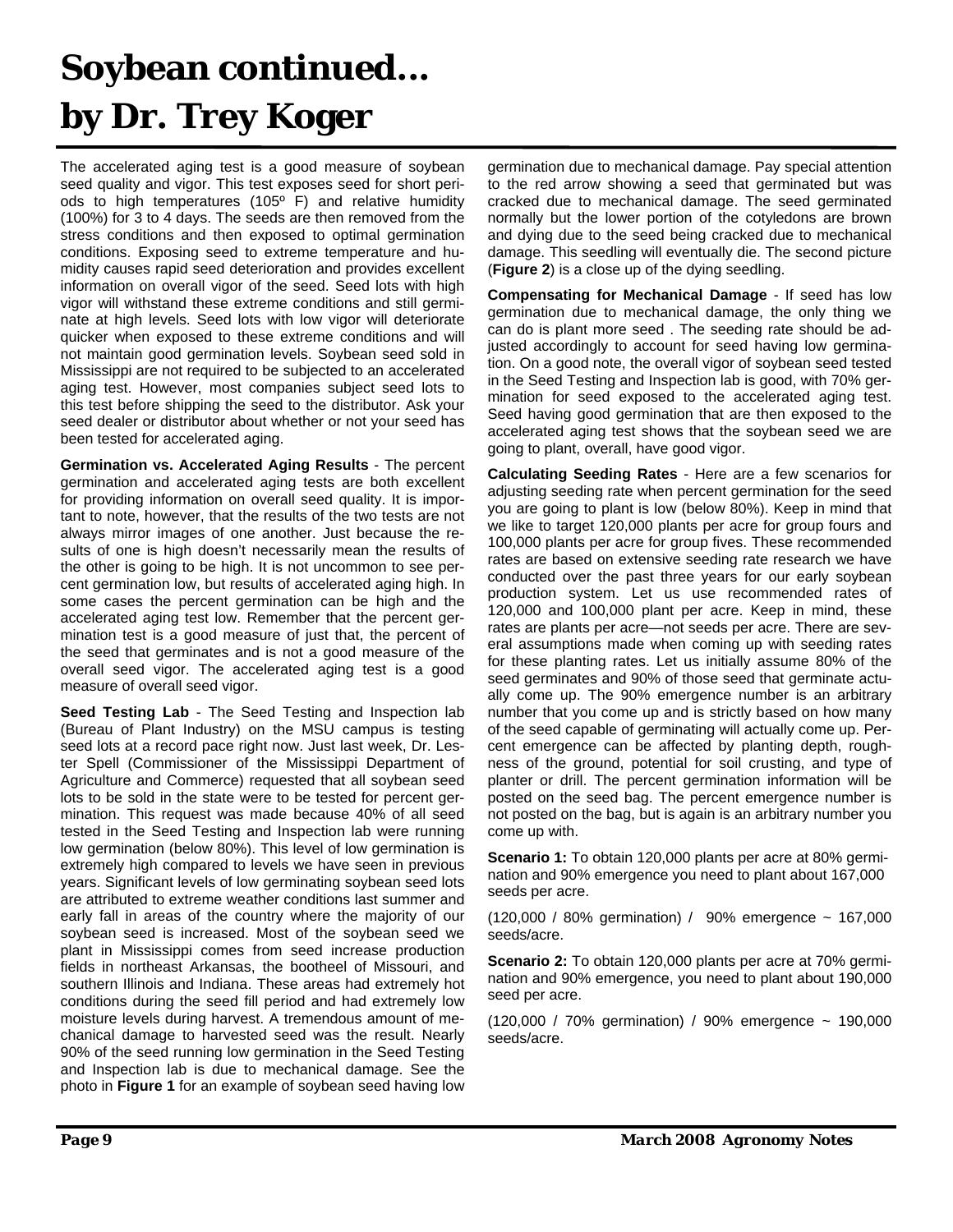## **Soybean continued... by Dr. Trey Koger**

The accelerated aging test is a good measure of soybean seed quality and vigor. This test exposes seed for short periods to high temperatures (105º F) and relative humidity (100%) for 3 to 4 days. The seeds are then removed from the stress conditions and then exposed to optimal germination conditions. Exposing seed to extreme temperature and humidity causes rapid seed deterioration and provides excellent information on overall vigor of the seed. Seed lots with high vigor will withstand these extreme conditions and still germinate at high levels. Seed lots with low vigor will deteriorate quicker when exposed to these extreme conditions and will not maintain good germination levels. Soybean seed sold in Mississippi are not required to be subjected to an accelerated aging test. However, most companies subject seed lots to this test before shipping the seed to the distributor. Ask your seed dealer or distributor about whether or not your seed has been tested for accelerated aging.

**Germination vs. Accelerated Aging Results** - The percent germination and accelerated aging tests are both excellent for providing information on overall seed quality. It is important to note, however, that the results of the two tests are not always mirror images of one another. Just because the results of one is high doesn't necessarily mean the results of the other is going to be high. It is not uncommon to see percent germination low, but results of accelerated aging high. In some cases the percent germination can be high and the accelerated aging test low. Remember that the percent germination test is a good measure of just that, the percent of the seed that germinates and is not a good measure of the overall seed vigor. The accelerated aging test is a good measure of overall seed vigor.

**Seed Testing Lab** - The Seed Testing and Inspection lab (Bureau of Plant Industry) on the MSU campus is testing seed lots at a record pace right now. Just last week, Dr. Lester Spell (Commissioner of the Mississippi Department of Agriculture and Commerce) requested that all soybean seed lots to be sold in the state were to be tested for percent germination. This request was made because 40% of all seed tested in the Seed Testing and Inspection lab were running low germination (below 80%). This level of low germination is extremely high compared to levels we have seen in previous years. Significant levels of low germinating soybean seed lots are attributed to extreme weather conditions last summer and early fall in areas of the country where the majority of our soybean seed is increased. Most of the soybean seed we plant in Mississippi comes from seed increase production fields in northeast Arkansas, the bootheel of Missouri, and southern Illinois and Indiana. These areas had extremely hot conditions during the seed fill period and had extremely low moisture levels during harvest. A tremendous amount of mechanical damage to harvested seed was the result. Nearly 90% of the seed running low germination in the Seed Testing and Inspection lab is due to mechanical damage. See the photo in **Figure 1** for an example of soybean seed having low germination due to mechanical damage. Pay special attention to the red arrow showing a seed that germinated but was cracked due to mechanical damage. The seed germinated normally but the lower portion of the cotyledons are brown and dying due to the seed being cracked due to mechanical damage. This seedling will eventually die. The second picture (**Figure 2**) is a close up of the dying seedling.

**Compensating for Mechanical Damage** - If seed has low germination due to mechanical damage, the only thing we can do is plant more seed . The seeding rate should be adjusted accordingly to account for seed having low germination. On a good note, the overall vigor of soybean seed tested in the Seed Testing and Inspection lab is good, with 70% germination for seed exposed to the accelerated aging test. Seed having good germination that are then exposed to the accelerated aging test shows that the soybean seed we are going to plant, overall, have good vigor.

**Calculating Seeding Rates** - Here are a few scenarios for adjusting seeding rate when percent germination for the seed you are going to plant is low (below 80%). Keep in mind that we like to target 120,000 plants per acre for group fours and 100,000 plants per acre for group fives. These recommended rates are based on extensive seeding rate research we have conducted over the past three years for our early soybean production system. Let us use recommended rates of 120,000 and 100,000 plant per acre. Keep in mind, these rates are plants per acre—not seeds per acre. There are several assumptions made when coming up with seeding rates for these planting rates. Let us initially assume 80% of the seed germinates and 90% of those seed that germinate actually come up. The 90% emergence number is an arbitrary number that you come up and is strictly based on how many of the seed capable of germinating will actually come up. Percent emergence can be affected by planting depth, roughness of the ground, potential for soil crusting, and type of planter or drill. The percent germination information will be posted on the seed bag. The percent emergence number is not posted on the bag, but is again is an arbitrary number you come up with.

**Scenario 1:** To obtain 120,000 plants per acre at 80% germination and 90% emergence you need to plant about 167,000 seeds per acre.

(120,000 / 80% germination) / 90% emergence ~ 167,000 seeds/acre.

**Scenario 2:** To obtain 120,000 plants per acre at 70% germination and 90% emergence, you need to plant about 190,000 seed per acre.

(120,000 / 70% germination) / 90% emergence ~ 190,000 seeds/acre.